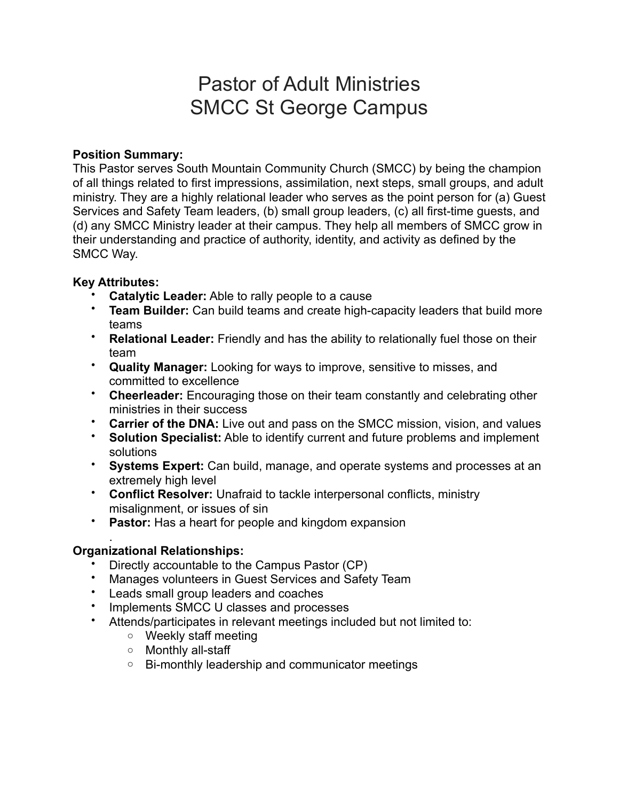# Pastor of Adult Ministries SMCC St George Campus

## **Position Summary:**

This Pastor serves South Mountain Community Church (SMCC) by being the champion of all things related to first impressions, assimilation, next steps, small groups, and adult ministry. They are a highly relational leader who serves as the point person for (a) Guest Services and Safety Team leaders, (b) small group leaders, (c) all first-time guests, and (d) any SMCC Ministry leader at their campus. They help all members of SMCC grow in their understanding and practice of authority, identity, and activity as defined by the SMCC Way.

# **Key Attributes:**

- **Catalytic Leader:** Able to rally people to a cause
- **Team Builder:** Can build teams and create high-capacity leaders that build more teams
- **Relational Leader:** Friendly and has the ability to relationally fuel those on their team
- **Quality Manager:** Looking for ways to improve, sensitive to misses, and committed to excellence
- **Cheerleader:** Encouraging those on their team constantly and celebrating other ministries in their success
- **Carrier of the DNA:** Live out and pass on the SMCC mission, vision, and values
- **Solution Specialist:** Able to identify current and future problems and implement solutions
- **Systems Expert:** Can build, manage, and operate systems and processes at an extremely high level
- **Conflict Resolver:** Unafraid to tackle interpersonal conflicts, ministry misalignment, or issues of sin
- **Pastor:** Has a heart for people and kingdom expansion

#### . **Organizational Relationships:**

- Directly accountable to the Campus Pastor (CP)
- Manages volunteers in Guest Services and Safety Team
- Leads small group leaders and coaches
- Implements SMCC U classes and processes
- Attends/participates in relevant meetings included but not limited to:
	- o Weekly staff meeting
	- o Monthly all-staff
	- o Bi-monthly leadership and communicator meetings